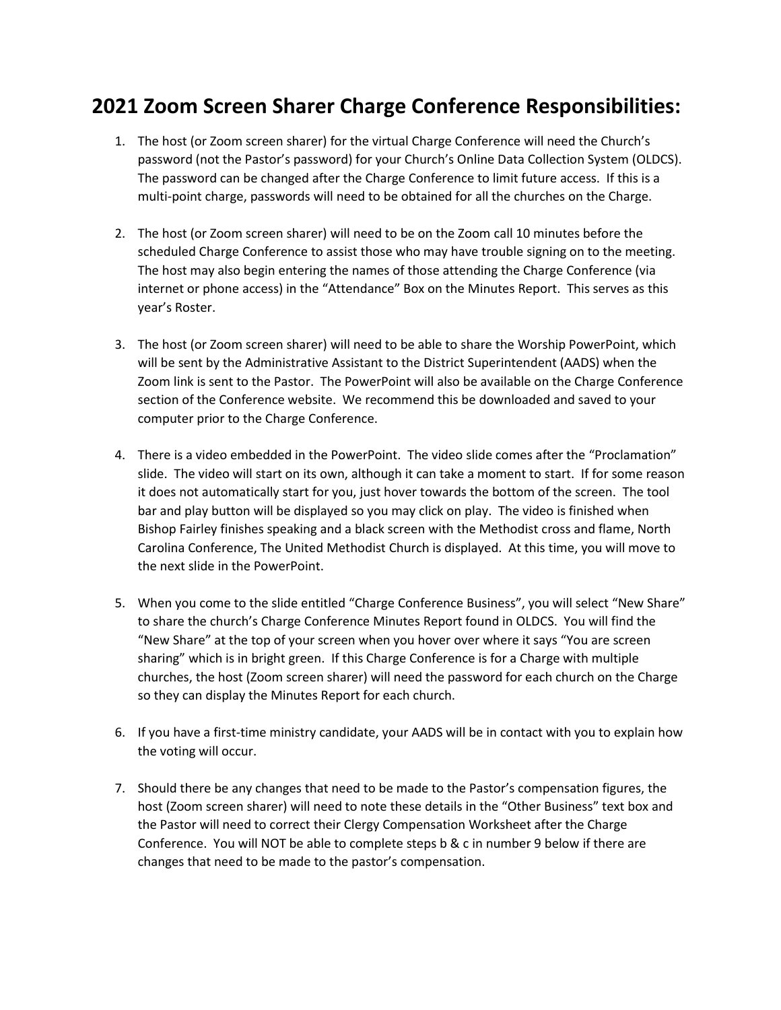## **2021 Zoom Screen Sharer Charge Conference Responsibilities:**

- 1. The host (or Zoom screen sharer) for the virtual Charge Conference will need the Church's password (not the Pastor's password) for your Church's Online Data Collection System (OLDCS). The password can be changed after the Charge Conference to limit future access. If this is a multi-point charge, passwords will need to be obtained for all the churches on the Charge.
- 2. The host (or Zoom screen sharer) will need to be on the Zoom call 10 minutes before the scheduled Charge Conference to assist those who may have trouble signing on to the meeting. The host may also begin entering the names of those attending the Charge Conference (via internet or phone access) in the "Attendance" Box on the Minutes Report. This serves as this year's Roster.
- 3. The host (or Zoom screen sharer) will need to be able to share the Worship PowerPoint, which will be sent by the Administrative Assistant to the District Superintendent (AADS) when the Zoom link is sent to the Pastor. The PowerPoint will also be available on the Charge Conference section of the Conference website. We recommend this be downloaded and saved to your computer prior to the Charge Conference.
- 4. There is a video embedded in the PowerPoint. The video slide comes after the "Proclamation" slide. The video will start on its own, although it can take a moment to start. If for some reason it does not automatically start for you, just hover towards the bottom of the screen. The tool bar and play button will be displayed so you may click on play. The video is finished when Bishop Fairley finishes speaking and a black screen with the Methodist cross and flame, North Carolina Conference, The United Methodist Church is displayed. At this time, you will move to the next slide in the PowerPoint.
- 5. When you come to the slide entitled "Charge Conference Business", you will select "New Share" to share the church's Charge Conference Minutes Report found in OLDCS. You will find the "New Share" at the top of your screen when you hover over where it says "You are screen sharing" which is in bright green. If this Charge Conference is for a Charge with multiple churches, the host (Zoom screen sharer) will need the password for each church on the Charge so they can display the Minutes Report for each church.
- 6. If you have a first-time ministry candidate, your AADS will be in contact with you to explain how the voting will occur.
- 7. Should there be any changes that need to be made to the Pastor's compensation figures, the host (Zoom screen sharer) will need to note these details in the "Other Business" text box and the Pastor will need to correct their Clergy Compensation Worksheet after the Charge Conference. You will NOT be able to complete steps b & c in number 9 below if there are changes that need to be made to the pastor's compensation.